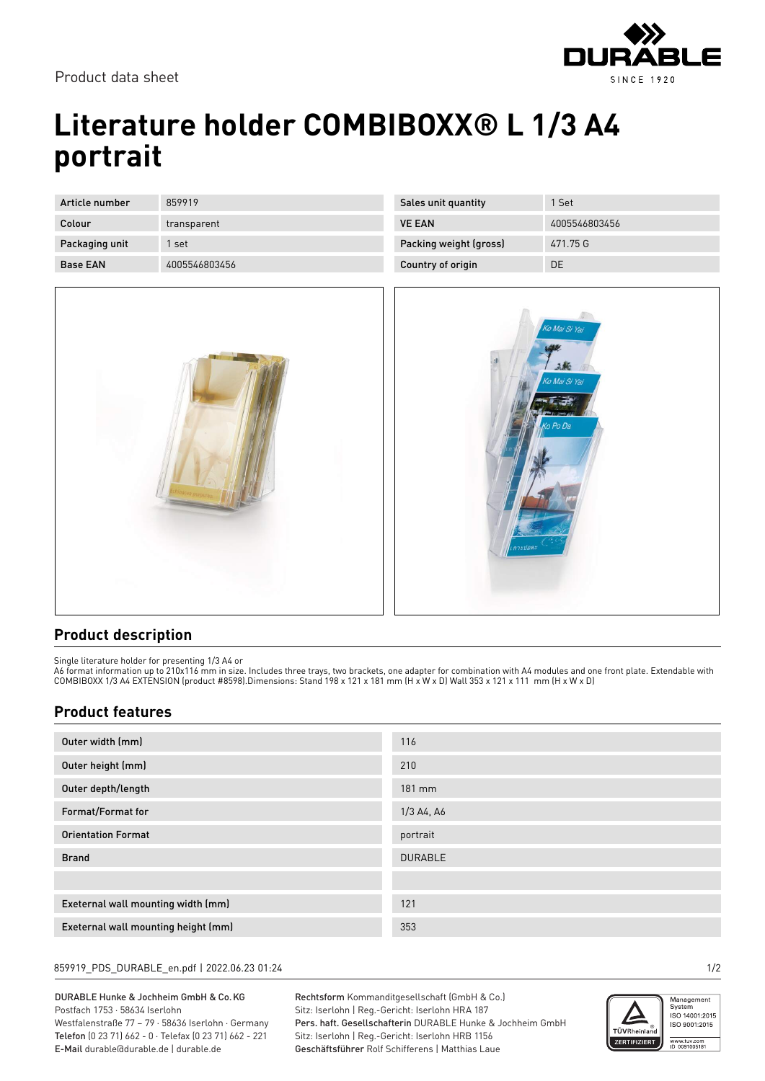

Product data sheet

# **Literature holder COMBIBOXX® L 1/3 A4 portrait**

| Article number  | 859919        |
|-----------------|---------------|
| Colour          | transparent   |
| Packaging unit  | 1 set         |
| <b>Base FAN</b> | 4005546803456 |



| Sales unit quantity    | 1 Set         |
|------------------------|---------------|
| <b>VE FAN</b>          | 4005546803456 |
| Packing weight (gross) | 471.75 G      |
| Country of origin      | DΕ            |



### **Product description**

Single literature holder for presenting 1/3 A4 or

A6 format information up to 210x116 mm in size. Includes three trays, two brackets, one adapter for combination with A4 modules and one front plate. Extendable with COMBIBOXX 1/3 A4 EXTENSION (product #8598).Dimensions: Stand 198 x 121 x 181 mm (H x W x D) Wall 353 x 121 x 111 mm (H x W x D)

### **Product features**

| Outer width (mm)                    | 116            |
|-------------------------------------|----------------|
| Outer height (mm)                   | 210            |
| Outer depth/length                  | 181 mm         |
| Format/Format for                   | 1/3 A4, A6     |
| <b>Orientation Format</b>           | portrait       |
| <b>Brand</b>                        | <b>DURABLE</b> |
|                                     |                |
| Exeternal wall mounting width (mm)  | 121            |
| Exeternal wall mounting height (mm) | 353            |

#### 859919\_PDS\_DURABLE\_en.pdf | 2022.06.23 01:24 1/2

DURABLE Hunke & Jochheim GmbH & Co.KG Postfach 1753 · 58634 Iserlohn Westfalenstraße 77 – 79 · 58636 Iserlohn · Germany Telefon (0 23 71) 662 - 0 · Telefax (0 23 71) 662 - 221 E-Mail durable@durable.de | durable.de

Rechtsform Kommanditgesellschaft (GmbH & Co.) Sitz: Iserlohn | Reg.-Gericht: Iserlohn HRA 187 Pers. haft. Gesellschafterin DURABLE Hunke & Jochheim GmbH Sitz: Iserlohn | Reg.-Gericht: Iserlohn HRB 1156 Geschäftsführer Rolf Schifferens | Matthias Laue